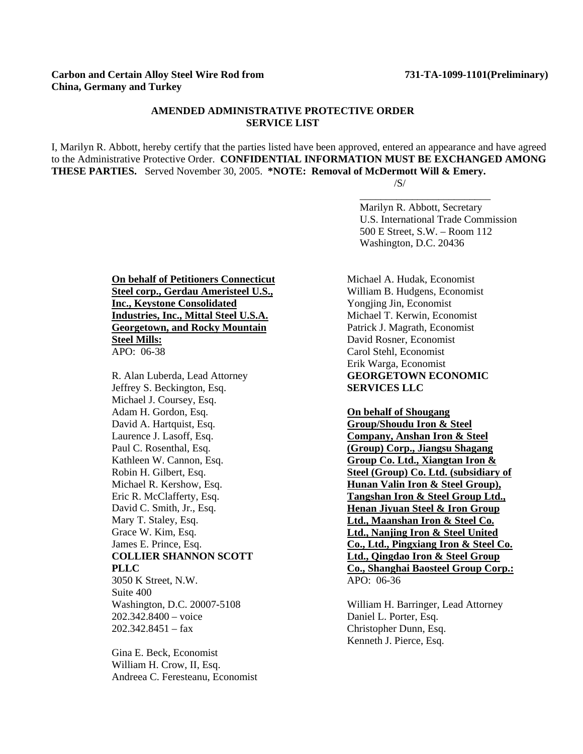## **AMENDED ADMINISTRATIVE PROTECTIVE ORDER SERVICE LIST**

I, Marilyn R. Abbott, hereby certify that the parties listed have been approved, entered an appearance and have agreed to the Administrative Protective Order. **CONFIDENTIAL INFORMATION MUST BE EXCHANGED AMONG THESE PARTIES.** Served November 30, 2005. **\*NOTE: Removal of McDermott Will & Emery.**  $/S/$ 

 Marilyn R. Abbott, Secretary U.S. International Trade Commission 500 E Street, S.W. – Room 112 Washington, D.C. 20436

\_\_\_\_\_\_\_\_\_\_\_\_\_\_\_\_\_\_\_\_\_\_\_\_\_

**On behalf of Petitioners Connecticut Steel corp., Gerdau Ameristeel U.S., Inc., Keystone Consolidated Industries, Inc., Mittal Steel U.S.A. Georgetown, and Rocky Mountain Steel Mills:** APO: 06-38

R. Alan Luberda, Lead Attorney Jeffrey S. Beckington, Esq. Michael J. Coursey, Esq. Adam H. Gordon, Esq. David A. Hartquist, Esq. Laurence J. Lasoff, Esq. Paul C. Rosenthal, Esq. Kathleen W. Cannon, Esq. Robin H. Gilbert, Esq. Michael R. Kershow, Esq. Eric R. McClafferty, Esq. David C. Smith, Jr., Esq. Mary T. Staley, Esq. Grace W. Kim, Esq. James E. Prince, Esq. **COLLIER SHANNON SCOTT PLLC** 3050 K Street, N.W. Suite 400 Washington, D.C. 20007-5108 202.342.8400 – voice  $202.342.8451 - fax$ 

Gina E. Beck, Economist William H. Crow, II, Esq. Andreea C. Feresteanu, Economist Michael A. Hudak, Economist William B. Hudgens, Economist Yongjing Jin, Economist Michael T. Kerwin, Economist Patrick J. Magrath, Economist David Rosner, Economist Carol Stehl, Economist Erik Warga, Economist **GEORGETOWN ECONOMIC SERVICES LLC** 

**On behalf of Shougang Group/Shoudu Iron & Steel Company, Anshan Iron & Steel (Group) Corp., Jiangsu Shagang Group Co. Ltd., Xiangtan Iron & Steel (Group) Co. Ltd. (subsidiary of Hunan Valin Iron & Steel Group), Tangshan Iron & Steel Group Ltd., Henan Jiyuan Steel & Iron Group Ltd., Maanshan Iron & Steel Co. Ltd., Nanjing Iron & Steel United Co., Ltd., Pingxiang Iron & Steel Co. Ltd., Qingdao Iron & Steel Group Co., Shanghai Baosteel Group Corp.:** APO: 06-36

William H. Barringer, Lead Attorney Daniel L. Porter, Esq. Christopher Dunn, Esq. Kenneth J. Pierce, Esq.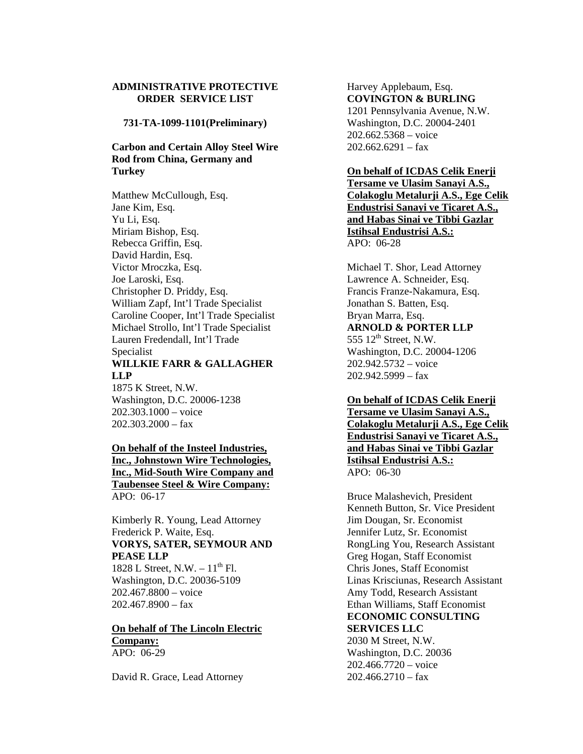## **ADMINISTRATIVE PROTECTIVE ORDER SERVICE LIST**

**731-TA-1099-1101(Preliminary)** 

# **Carbon and Certain Alloy Steel Wire Rod from China, Germany and Turkey**

Matthew McCullough, Esq. Jane Kim, Esq. Yu Li, Esq. Miriam Bishop, Esq. Rebecca Griffin, Esq. David Hardin, Esq. Victor Mroczka, Esq. Joe Laroski, Esq. Christopher D. Priddy, Esq. William Zapf, Int'l Trade Specialist Caroline Cooper, Int'l Trade Specialist Michael Strollo, Int'l Trade Specialist Lauren Fredendall, Int'l Trade Specialist **WILLKIE FARR & GALLAGHER LLP** 1875 K Street, N.W.

Washington, D.C. 20006-1238 202.303.1000 – voice  $202.303.2000 - fax$ 

## **On behalf of the Insteel Industries, Inc., Johnstown Wire Technologies, Inc., Mid-South Wire Company and Taubensee Steel & Wire Company:** APO: 06-17

Kimberly R. Young, Lead Attorney Frederick P. Waite, Esq. **VORYS, SATER, SEYMOUR AND PEASE LLP** 1828 L Street, N.W.  $-11^{th}$  Fl. Washington, D.C. 20036-5109 202.467.8800 – voice

202.467.8900 – fax

## **On behalf of The Lincoln Electric Company:** APO: 06-29

David R. Grace, Lead Attorney

#### Harvey Applebaum, Esq. **COVINGTON & BURLING**

1201 Pennsylvania Avenue, N.W. Washington, D.C. 20004-2401 202.662.5368 – voice  $202.662.6291 - fax$ 

#### **On behalf of ICDAS Celik Enerji**

**Tersame ve Ulasim Sanayi A.S., Colakoglu Metalurji A.S., Ege Celik Endustrisi Sanayi ve Ticaret A.S., and Habas Sinai ve Tibbi Gazlar Istihsal Endustrisi A.S.:** APO: 06-28

Michael T. Shor, Lead Attorney Lawrence A. Schneider, Esq. Francis Franze-Nakamura, Esq. Jonathan S. Batten, Esq. Bryan Marra, Esq. **ARNOLD & PORTER LLP** 555  $12<sup>th</sup>$  Street, N.W. Washington, D.C. 20004-1206 202.942.5732 – voice  $202.942.5999 - fax$ 

## **On behalf of ICDAS Celik Enerji Tersame ve Ulasim Sanayi A.S., Colakoglu Metalurji A.S., Ege Celik Endustrisi Sanayi ve Ticaret A.S., and Habas Sinai ve Tibbi Gazlar Istihsal Endustrisi A.S.:** APO: 06-30

Bruce Malashevich, President Kenneth Button, Sr. Vice President Jim Dougan, Sr. Economist Jennifer Lutz, Sr. Economist RongLing You, Research Assistant Greg Hogan, Staff Economist Chris Jones, Staff Economist Linas Krisciunas, Research Assistant Amy Todd, Research Assistant Ethan Williams, Staff Economist **ECONOMIC CONSULTING SERVICES LLC**

2030 M Street, N.W. Washington, D.C. 20036 202.466.7720 – voice  $202.466.2710 -$ fax